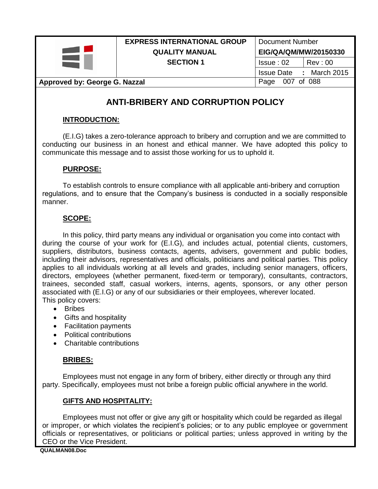

### **EXPRESS INTERNATIONAL GROUP** | Document Number **QUALITY MANUAL EIG/QA/QM/MW/20150330 SECTION 1 ISSUE : 02** Rev : 00

Issue Date **:** March 2015

### **Approved by: George G. Nazzal Approved by: George G. Nazzal**

# **ANTI-BRIBERY AND CORRUPTION POLICY**

### **INTRODUCTION:**

(E.I.G) takes a zero-tolerance approach to bribery and corruption and we are committed to conducting our business in an honest and ethical manner. We have adopted this policy to communicate this message and to assist those working for us to uphold it.

### **PURPOSE:**

To establish controls to ensure compliance with all applicable anti-bribery and corruption regulations, and to ensure that the Company's business is conducted in a socially responsible manner.

### **SCOPE:**

In this policy, third party means any individual or organisation you come into contact with during the course of your work for (E.I.G), and includes actual, potential clients, customers, suppliers, distributors, business contacts, agents, advisers, government and public bodies, including their advisors, representatives and officials, politicians and political parties. This policy applies to all individuals working at all levels and grades, including senior managers, officers, directors, employees (whether permanent, fixed-term or temporary), consultants, contractors, trainees, seconded staff, casual workers, interns, agents, sponsors, or any other person associated with (E.I.G) or any of our subsidiaries or their employees, wherever located. This policy covers:

- Bribes
- Gifts and hospitality
- Facilitation payments
- Political contributions
- Charitable contributions

### **BRIBES:**

Employees must not engage in any form of bribery, either directly or through any third party. Specifically, employees must not bribe a foreign public official anywhere in the world.

### **GIFTS AND HOSPITALITY:**

Employees must not offer or give any gift or hospitality which could be regarded as illegal or improper, or which violates the recipient's policies; or to any public employee or government officials or representatives, or politicians or political parties; unless approved in writing by the CEO or the Vice President.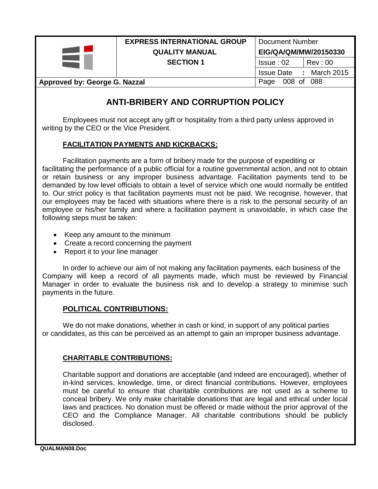

### **EXPRESS INTERNATIONAL GROUP** | Document Number **QUALITY MANUAL EIG/QA/QM/MW/20150330 SECTION 1 ISSUE : 02** Rev : 00

Issue Date **:** March 2015

### **Approved by: George G. Nazzal Page 008 of 088**

# **ANTI-BRIBERY AND CORRUPTION POLICY**

Employees must not accept any gift or hospitality from a third party unless approved in writing by the CEO or the Vice President.

### **FACILITATION PAYMENTS AND KICKBACKS:**

Facilitation payments are a form of bribery made for the purpose of expediting or facilitating the performance of a public official for a routine governmental action, and not to obtain or retain business or any improper business advantage. Facilitation payments tend to be demanded by low level officials to obtain a level of service which one would normally be entitled to. Our strict policy is that facilitation payments must not be paid. We recognise, however, that our employees may be faced with situations where there is a risk to the personal security of an employee or his/her family and where a facilitation payment is unavoidable, in which case the following steps must be taken:

- Keep any amount to the minimum
- Create a record concerning the payment
- Report it to your line manager

In order to achieve our aim of not making any facilitation payments, each business of the Company will keep a record of all payments made, which must be reviewed by Financial Manager in order to evaluate the business risk and to develop a strategy to minimise such payments in the future.

### **POLITICAL CONTRIBUTIONS:**

We do not make donations, whether in cash or kind, in support of any political parties or candidates, as this can be perceived as an attempt to gain an improper business advantage.

### **CHARITABLE CONTRIBUTIONS:**

Charitable support and donations are acceptable (and indeed are encouraged), whether of in-kind services, knowledge, time, or direct financial contributions. However, employees must be careful to ensure that charitable contributions are not used as a scheme to conceal bribery. We only make charitable donations that are legal and ethical under local laws and practices. No donation must be offered or made without the prior approval of the CEO and the Compliance Manager. All charitable contributions should be publicly disclosed.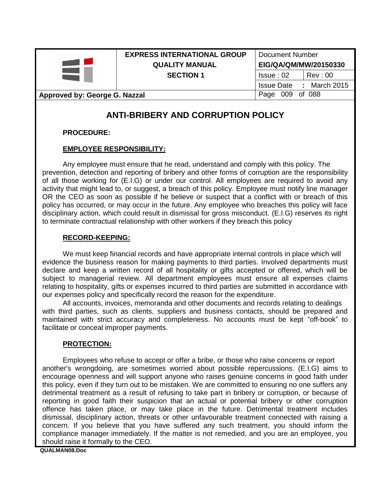### **EXPRESS INTERNATIONAL GROUP** Document Number **QUALITY MANUAL EIG/QA/QM/MW/20150330 SECTION 1 ISSUE : 02** Rev : 00

Issue Date **:** March 2015

#### **Approved by: George G. Nazzal Approved by: George G. Nazzal Approved By: Approved By: George G. Nazzal Approved By: Approved By: Approved By: George G. Nazzal Approved By: Approved By: Approved By: Approved By: Approved B**

## **ANTI-BRIBERY AND CORRUPTION POLICY**

**PROCEDURE:**

### **EMPLOYEE RESPONSIBILITY:**

Any employee must ensure that he read, understand and comply with this policy. The prevention, detection and reporting of bribery and other forms of corruption are the responsibility of all those working for (E.I.G) or under our control. All employees are required to avoid any activity that might lead to, or suggest, a breach of this policy. Employee must notify line manager OR the CEO as soon as possible if he believe or suspect that a conflict with or breach of this policy has occurred, or may occur in the future. Any employee who breaches this policy will face disciplinary action, which could result in dismissal for gross misconduct. (E.I.G) reserves its right to terminate contractual relationship with other workers if they breach this policy

#### **RECORD-KEEPING:**

We must keep financial records and have appropriate internal controls in place which will evidence the business reason for making payments to third parties. Involved departments must declare and keep a written record of all hospitality or gifts accepted or offered, which will be subject to managerial review. All department employees must ensure all expenses claims relating to hospitality, gifts or expenses incurred to third parties are submitted in accordance with our expenses policy and specifically record the reason for the expenditure.

All accounts, invoices, memoranda and other documents and records relating to dealings with third parties, such as clients, suppliers and business contacts, should be prepared and maintained with strict accuracy and completeness. No accounts must be kept "off-book" to facilitate or conceal improper payments.

#### **PROTECTION:**

Employees who refuse to accept or offer a bribe, or those who raise concerns or report another's wrongdoing, are sometimes worried about possible repercussions. (E.I.G) aims to encourage openness and will support anyone who raises genuine concerns in good faith under this policy, even if they turn out to be mistaken. We are committed to ensuring no one suffers any detrimental treatment as a result of refusing to take part in bribery or corruption, or because of reporting in good faith their suspicion that an actual or potential bribery or other corruption offence has taken place, or may take place in the future. Detrimental treatment includes dismissal, disciplinary action, threats or other unfavourable treatment connected with raising a concern. If you believe that you have suffered any such treatment, you should inform the compliance manager immediately. If the matter is not remedied, and you are an employee, you should raise it formally to the CEO.